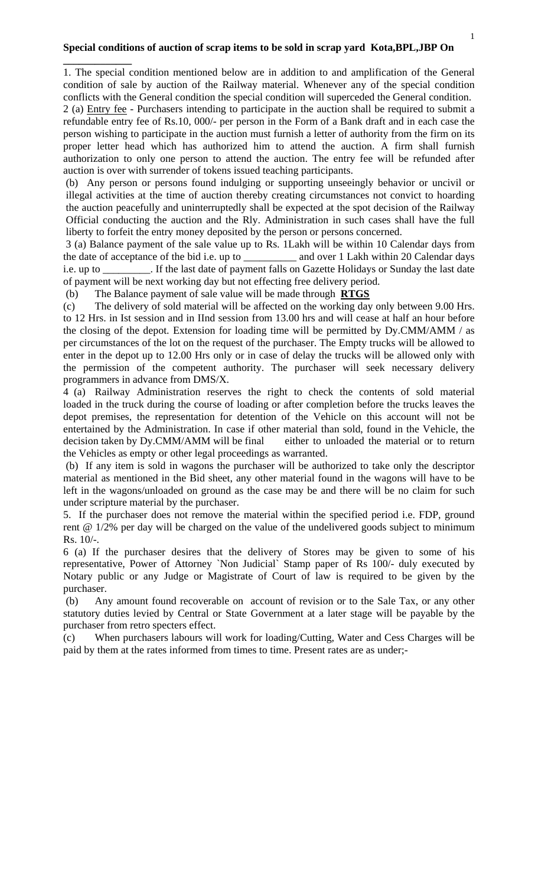## **Special conditions of auction of scrap items to be sold in scrap yard Kota,BPL,JBP On**

**\_\_\_\_\_\_\_\_\_\_\_\_\_** 

1. The special condition mentioned below are in addition to and amplification of the General condition of sale by auction of the Railway material. Whenever any of the special condition conflicts with the General condition the special condition will superceded the General condition.

2 (a) Entry fee - Purchasers intending to participate in the auction shall be required to submit a refundable entry fee of Rs.10, 000/- per person in the Form of a Bank draft and in each case the person wishing to participate in the auction must furnish a letter of authority from the firm on its proper letter head which has authorized him to attend the auction. A firm shall furnish authorization to only one person to attend the auction. The entry fee will be refunded after auction is over with surrender of tokens issued teaching participants.

(b) Any person or persons found indulging or supporting unseeingly behavior or uncivil or illegal activities at the time of auction thereby creating circumstances not convict to hoarding the auction peacefully and uninterruptedly shall be expected at the spot decision of the Railway Official conducting the auction and the Rly. Administration in such cases shall have the full liberty to forfeit the entry money deposited by the person or persons concerned.

 3 (a) Balance payment of the sale value up to Rs. 1Lakh will be within 10 Calendar days from the date of acceptance of the bid i.e. up to \_\_\_\_\_\_\_\_\_\_ and over 1 Lakh within 20 Calendar days i.e. up to \_\_\_\_\_\_\_\_\_. If the last date of payment falls on Gazette Holidays or Sunday the last date of payment will be next working day but not effecting free delivery period.

(b) The Balance payment of sale value will be made through **RTGS**

(c) The delivery of sold material will be affected on the working day only between 9.00 Hrs. to 12 Hrs. in Ist session and in IInd session from 13.00 hrs and will cease at half an hour before the closing of the depot. Extension for loading time will be permitted by  $D_y$ CMM/AMM / as per circumstances of the lot on the request of the purchaser. The Empty trucks will be allowed to enter in the depot up to 12.00 Hrs only or in case of delay the trucks will be allowed only with the permission of the competent authority. The purchaser will seek necessary delivery programmers in advance from DMS/X.

4 (a) Railway Administration reserves the right to check the contents of sold material loaded in the truck during the course of loading or after completion before the trucks leaves the depot premises, the representation for detention of the Vehicle on this account will not be entertained by the Administration. In case if other material than sold, found in the Vehicle, the decision taken by Dy.CMM/AMM will be final either to unloaded the material or to return the Vehicles as empty or other legal proceedings as warranted.

 (b) If any item is sold in wagons the purchaser will be authorized to take only the descriptor material as mentioned in the Bid sheet, any other material found in the wagons will have to be left in the wagons/unloaded on ground as the case may be and there will be no claim for such under scripture material by the purchaser.

5. If the purchaser does not remove the material within the specified period i.e. FDP, ground rent @ 1/2% per day will be charged on the value of the undelivered goods subject to minimum Rs. 10/-.

6 (a) If the purchaser desires that the delivery of Stores may be given to some of his representative, Power of Attorney `Non Judicial` Stamp paper of Rs 100/- duly executed by Notary public or any Judge or Magistrate of Court of law is required to be given by the purchaser.

 (b) Any amount found recoverable on account of revision or to the Sale Tax, or any other statutory duties levied by Central or State Government at a later stage will be payable by the purchaser from retro specters effect.

(c) When purchasers labours will work for loading/Cutting, Water and Cess Charges will be paid by them at the rates informed from times to time. Present rates are as under;-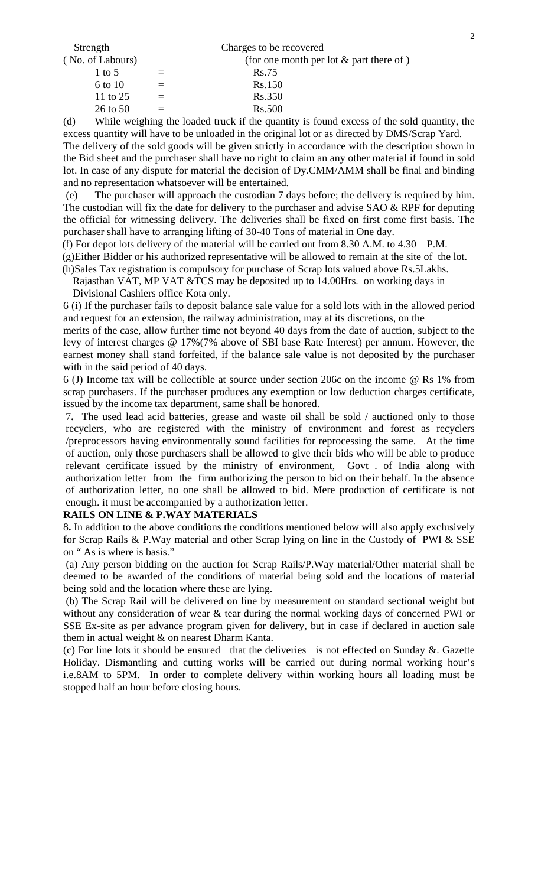| Strength         | Charges to be recovered                   |
|------------------|-------------------------------------------|
| (No. of Labours) | (for one month per lot $&$ part there of) |
| 1 to 5           | Rs.75                                     |
| 6 to 10          | Rs.150                                    |
| 11 to 25         | Rs.350                                    |
| $26$ to $50$     | Rs.500                                    |

(d) While weighing the loaded truck if the quantity is found excess of the sold quantity, the excess quantity will have to be unloaded in the original lot or as directed by DMS/Scrap Yard.

The delivery of the sold goods will be given strictly in accordance with the description shown in the Bid sheet and the purchaser shall have no right to claim an any other material if found in sold lot. In case of any dispute for material the decision of Dy.CMM/AMM shall be final and binding and no representation whatsoever will be entertained.

 (e) The purchaser will approach the custodian 7 days before; the delivery is required by him. The custodian will fix the date for delivery to the purchaser and advise  $SAO \& RPF$  for deputing the official for witnessing delivery. The deliveries shall be fixed on first come first basis. The purchaser shall have to arranging lifting of 30-40 Tons of material in One day.

(f) For depot lots delivery of the material will be carried out from 8.30 A.M. to 4.30 P.M.

 (g)Either Bidder or his authorized representative will be allowed to remain at the site of the lot. (h)Sales Tax registration is compulsory for purchase of Scrap lots valued above Rs.5Lakhs.

 Rajasthan VAT, MP VAT &TCS may be deposited up to 14.00Hrs. on working days in Divisional Cashiers office Kota only.

6 (i) If the purchaser fails to deposit balance sale value for a sold lots with in the allowed period and request for an extension, the railway administration, may at its discretions, on the

merits of the case, allow further time not beyond 40 days from the date of auction, subject to the levy of interest charges @ 17%(7% above of SBI base Rate Interest) per annum. However, the earnest money shall stand forfeited, if the balance sale value is not deposited by the purchaser with in the said period of 40 days.

6 (J) Income tax will be collectible at source under section 206c on the income @ Rs 1% from scrap purchasers. If the purchaser produces any exemption or low deduction charges certificate, issued by the income tax department, same shall be honored.

7**.** The used lead acid batteries, grease and waste oil shall be sold / auctioned only to those recyclers, who are registered with the ministry of environment and forest as recyclers /preprocessors having environmentally sound facilities for reprocessing the same. At the time of auction, only those purchasers shall be allowed to give their bids who will be able to produce relevant certificate issued by the ministry of environment, Govt . of India along with authorization letter from the firm authorizing the person to bid on their behalf. In the absence of authorization letter, no one shall be allowed to bid. Mere production of certificate is not enough. it must be accompanied by a authorization letter.

## **RAILS ON LINE & P.WAY MATERIALS**

8**.** In addition to the above conditions the conditions mentioned below will also apply exclusively for Scrap Rails & P.Way material and other Scrap lying on line in the Custody of PWI & SSE on " As is where is basis."

 (a) Any person bidding on the auction for Scrap Rails/P.Way material/Other material shall be deemed to be awarded of the conditions of material being sold and the locations of material being sold and the location where these are lying.

 (b) The Scrap Rail will be delivered on line by measurement on standard sectional weight but without any consideration of wear & tear during the normal working days of concerned PWI or SSE Ex-site as per advance program given for delivery, but in case if declared in auction sale them in actual weight & on nearest Dharm Kanta.

(c) For line lots it should be ensured that the deliveries is not effected on Sunday &. Gazette Holiday. Dismantling and cutting works will be carried out during normal working hour's i.e.8AM to 5PM. In order to complete delivery within working hours all loading must be stopped half an hour before closing hours.